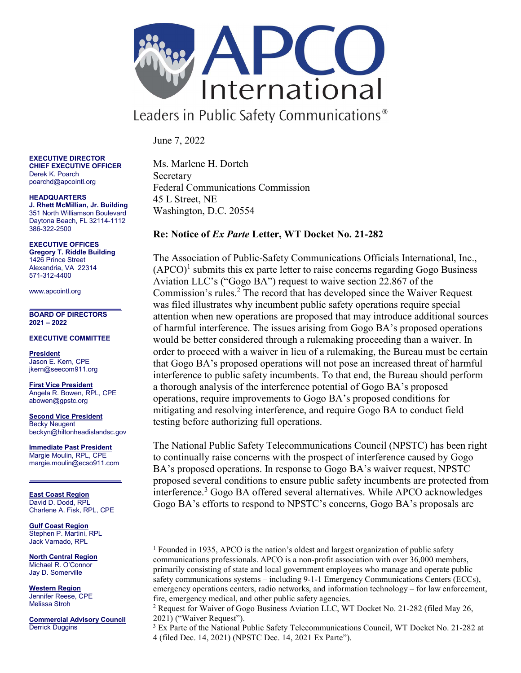

Leaders in Public Safety Communications<sup>®</sup>

June 7, 2022

EXECUTIVE DIRECTOR CHIEF EXECUTIVE OFFICER Derek K. Poarch poarchd@apcointl.org

HEADQUARTERS J. Rhett McMillian, Jr. Building 351 North Williamson Boulevard Daytona Beach, FL 32114-1112 386-322-2500

EXECUTIVE OFFICES Gregory T. Riddle Building 1426 Prince Street Alexandria, VA 22314 571-312-4400

www.apcointl.org

BOARD OF DIRECTORS 2021 – 2022

EXECUTIVE COMMITTEE

President Jason E. Kern, CPE jkern@seecom911.org

First Vice President Angela R. Bowen, RPL, CPE abowen@gpstc.org

Second Vice President Becky Neugent beckyn@hiltonheadislandsc.gov

Immediate Past President Margie Moulin, RPL, CPE margie.moulin@ecso911.com

East Coast Region David D. Dodd, RPL Charlene A. Fisk, RPL, CPE

**Gulf Coast Region** Stephen P. Martini, RPL Jack Varnado, RPL

North Central Region Michael R. O'Connor Jay D. Somerville

Western Region Jennifer Reese, CPE Melissa Stroh

Commercial Advisory Council Derrick Duggins

Ms. Marlene H. Dortch Secretary Federal Communications Commission 45 L Street, NE Washington, D.C. 20554

## Re: Notice of Ex Parte Letter, WT Docket No. 21-282

The Association of Public-Safety Communications Officials International, Inc.,  $(APCO)^1$  submits this ex parte letter to raise concerns regarding Gogo Business Aviation LLC's ("Gogo BA") request to waive section 22.867 of the Commission's rules.<sup>2</sup> The record that has developed since the Waiver Request was filed illustrates why incumbent public safety operations require special attention when new operations are proposed that may introduce additional sources of harmful interference. The issues arising from Gogo BA's proposed operations would be better considered through a rulemaking proceeding than a waiver. In order to proceed with a waiver in lieu of a rulemaking, the Bureau must be certain that Gogo BA's proposed operations will not pose an increased threat of harmful interference to public safety incumbents. To that end, the Bureau should perform a thorough analysis of the interference potential of Gogo BA's proposed operations, require improvements to Gogo BA's proposed conditions for mitigating and resolving interference, and require Gogo BA to conduct field testing before authorizing full operations.

The National Public Safety Telecommunications Council (NPSTC) has been right to continually raise concerns with the prospect of interference caused by Gogo BA's proposed operations. In response to Gogo BA's waiver request, NPSTC proposed several conditions to ensure public safety incumbents are protected from interference.<sup>3</sup> Gogo BA offered several alternatives. While APCO acknowledges Gogo BA's efforts to respond to NPSTC's concerns, Gogo BA's proposals are

<sup>1</sup> Founded in 1935, APCO is the nation's oldest and largest organization of public safety communications professionals. APCO is a non-profit association with over 36,000 members, primarily consisting of state and local government employees who manage and operate public safety communications systems – including 9-1-1 Emergency Communications Centers (ECCs), emergency operations centers, radio networks, and information technology – for law enforcement, fire, emergency medical, and other public safety agencies.

<sup>2</sup> Request for Waiver of Gogo Business Aviation LLC, WT Docket No. 21-282 (filed May 26, 2021) ("Waiver Request").

<sup>3</sup> Ex Parte of the National Public Safety Telecommunications Council, WT Docket No. 21-282 at 4 (filed Dec. 14, 2021) (NPSTC Dec. 14, 2021 Ex Parte").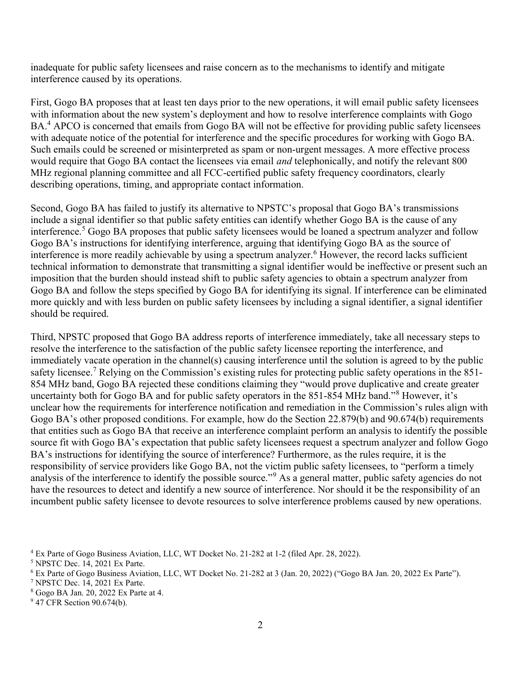inadequate for public safety licensees and raise concern as to the mechanisms to identify and mitigate interference caused by its operations.

First, Gogo BA proposes that at least ten days prior to the new operations, it will email public safety licensees with information about the new system's deployment and how to resolve interference complaints with Gogo BA.<sup>4</sup> APCO is concerned that emails from Gogo BA will not be effective for providing public safety licensees with adequate notice of the potential for interference and the specific procedures for working with Gogo BA. Such emails could be screened or misinterpreted as spam or non-urgent messages. A more effective process would require that Gogo BA contact the licensees via email *and* telephonically, and notify the relevant 800 MHz regional planning committee and all FCC-certified public safety frequency coordinators, clearly describing operations, timing, and appropriate contact information.

Second, Gogo BA has failed to justify its alternative to NPSTC's proposal that Gogo BA's transmissions include a signal identifier so that public safety entities can identify whether Gogo BA is the cause of any interference.<sup>5</sup> Gogo BA proposes that public safety licensees would be loaned a spectrum analyzer and follow Gogo BA's instructions for identifying interference, arguing that identifying Gogo BA as the source of interference is more readily achievable by using a spectrum analyzer.<sup>6</sup> However, the record lacks sufficient technical information to demonstrate that transmitting a signal identifier would be ineffective or present such an imposition that the burden should instead shift to public safety agencies to obtain a spectrum analyzer from Gogo BA and follow the steps specified by Gogo BA for identifying its signal. If interference can be eliminated more quickly and with less burden on public safety licensees by including a signal identifier, a signal identifier should be required.

Third, NPSTC proposed that Gogo BA address reports of interference immediately, take all necessary steps to resolve the interference to the satisfaction of the public safety licensee reporting the interference, and immediately vacate operation in the channel(s) causing interference until the solution is agreed to by the public safety licensee.<sup>7</sup> Relying on the Commission's existing rules for protecting public safety operations in the 851-854 MHz band, Gogo BA rejected these conditions claiming they "would prove duplicative and create greater uncertainty both for Gogo BA and for public safety operators in the 851-854 MHz band."<sup>8</sup> However, it's unclear how the requirements for interference notification and remediation in the Commission's rules align with Gogo BA's other proposed conditions. For example, how do the Section 22.879(b) and 90.674(b) requirements that entities such as Gogo BA that receive an interference complaint perform an analysis to identify the possible source fit with Gogo BA's expectation that public safety licensees request a spectrum analyzer and follow Gogo BA's instructions for identifying the source of interference? Furthermore, as the rules require, it is the responsibility of service providers like Gogo BA, not the victim public safety licensees, to "perform a timely analysis of the interference to identify the possible source."<sup>9</sup> As a general matter, public safety agencies do not have the resources to detect and identify a new source of interference. Nor should it be the responsibility of an incumbent public safety licensee to devote resources to solve interference problems caused by new operations.

<sup>4</sup> Ex Parte of Gogo Business Aviation, LLC, WT Docket No. 21-282 at 1-2 (filed Apr. 28, 2022).

<sup>5</sup> NPSTC Dec. 14, 2021 Ex Parte.

<sup>6</sup> Ex Parte of Gogo Business Aviation, LLC, WT Docket No. 21-282 at 3 (Jan. 20, 2022) ("Gogo BA Jan. 20, 2022 Ex Parte").

<sup>7</sup> NPSTC Dec. 14, 2021 Ex Parte.

<sup>8</sup> Gogo BA Jan. 20, 2022 Ex Parte at 4.

<sup>&</sup>lt;sup>9</sup> 47 CFR Section 90.674(b).